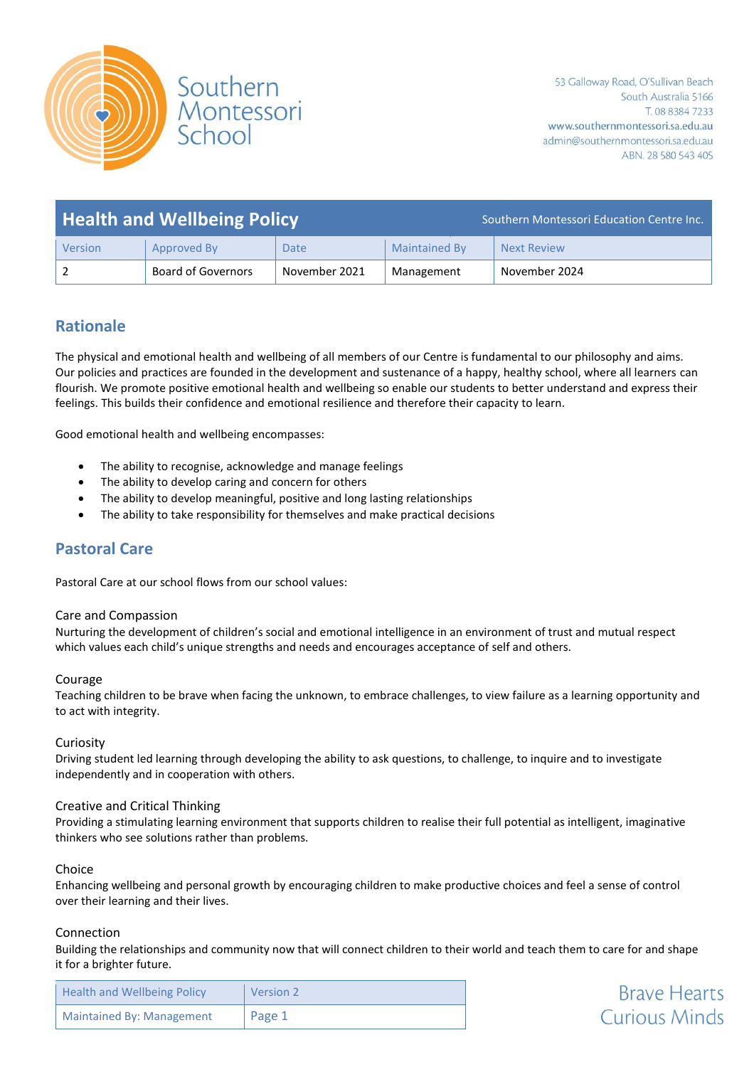

| <b>Health and Wellbeing Policy</b> |                           |               |                      | Southern Montessori Education Centre Inc. |
|------------------------------------|---------------------------|---------------|----------------------|-------------------------------------------|
| Version                            | Approved By               | Date          | <b>Maintained By</b> | <b>Next Review</b>                        |
|                                    | <b>Board of Governors</b> | November 2021 | Management           | November 2024                             |

## **Rationale**

The physical and emotional health and wellbeing of all members of our Centre is fundamental to our philosophy and aims. Our policies and practices are founded in the development and sustenance of a happy, healthy school, where all learners can flourish. We promote positive emotional health and wellbeing so enable our students to better understand and express their feelings. This builds their confidence and emotional resilience and therefore their capacity to learn.

Good emotional health and wellbeing encompasses:

- The ability to recognise, acknowledge and manage feelings
- The ability to develop caring and concern for others
- The ability to develop meaningful, positive and long lasting relationships
- The ability to take responsibility for themselves and make practical decisions

### **Pastoral Care**

Pastoral Care at our school flows from our school values:

#### Care and Compassion

Nurturing the development of children's social and emotional intelligence in an environment of trust and mutual respect which values each child's unique strengths and needs and encourages acceptance of self and others.

#### Courage

Teaching children to be brave when facing the unknown, to embrace challenges, to view failure as a learning opportunity and to act with integrity.

#### **Curiosity**

Driving student led learning through developing the ability to ask questions, to challenge, to inquire and to investigate independently and in cooperation with others.

#### Creative and Critical Thinking

Providing a stimulating learning environment that supports children to realise their full potential as intelligent, imaginative thinkers who see solutions rather than problems.

### Choice

Enhancing wellbeing and personal growth by encouraging children to make productive choices and feel a sense of control over their learning and their lives.

### Connection

Building the relationships and community now that will connect children to their world and teach them to care for and shape it for a brighter future.

| <b>Health and Wellbeing Policy</b> | Version 2 |
|------------------------------------|-----------|
| Maintained By: Management          | Page 1    |

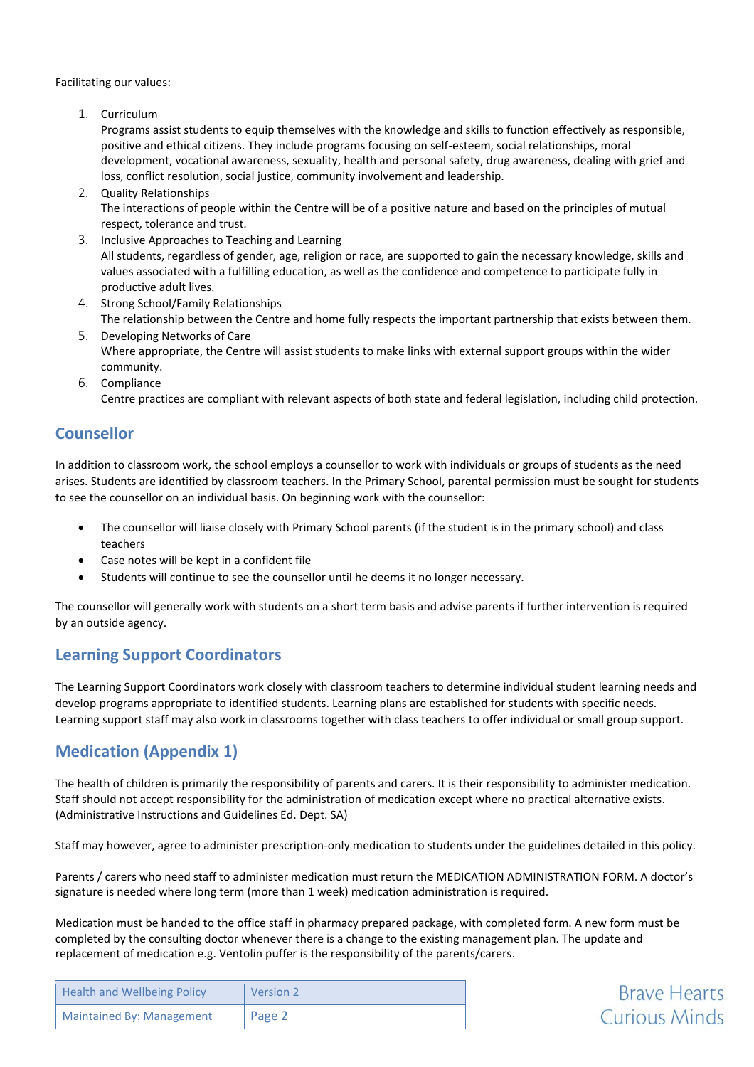Facilitating our values:

1. Curriculum

Programs assist students to equip themselves with the knowledge and skills to function effectively as responsible, positive and ethical citizens. They include programs focusing on self-esteem, social relationships, moral development, vocational awareness, sexuality, health and personal safety, drug awareness, dealing with grief and loss, conflict resolution, social justice, community involvement and leadership.

- 2. Quality Relationships The interactions of people within the Centre will be of a positive nature and based on the principles of mutual respect, tolerance and trust.
- 3. Inclusive Approaches to Teaching and Learning All students, regardless of gender, age, religion or race, are supported to gain the necessary knowledge, skills and values associated with a fulfilling education, as well as the confidence and competence to participate fully in productive adult lives.
- 4. Strong School/Family Relationships The relationship between the Centre and home fully respects the important partnership that exists between them.
- 5. Developing Networks of Care Where appropriate, the Centre will assist students to make links with external support groups within the wider community.
- 6. Compliance
	- Centre practices are compliant with relevant aspects of both state and federal legislation, including child protection.

### **Counsellor**

In addition to classroom work, the school employs a counsellor to work with individuals or groups of students as the need arises. Students are identified by classroom teachers. In the Primary School, parental permission must be sought for students to see the counsellor on an individual basis. On beginning work with the counsellor:

- The counsellor will liaise closely with Primary School parents (if the student is in the primary school) and class teachers
- Case notes will be kept in a confident file
- Students will continue to see the counsellor until he deems it no longer necessary.

The counsellor will generally work with students on a short term basis and advise parents if further intervention is required by an outside agency.

### **Learning Support Coordinators**

The Learning Support Coordinators work closely with classroom teachers to determine individual student learning needs and develop programs appropriate to identified students. Learning plans are established for students with specific needs. Learning support staff may also work in classrooms together with class teachers to offer individual or small group support.

## **Medication (Appendix 1)**

The health of children is primarily the responsibility of parents and carers. It is their responsibility to administer medication. Staff should not accept responsibility for the administration of medication except where no practical alternative exists. (Administrative Instructions and Guidelines Ed. Dept. SA)

Staff may however, agree to administer prescription-only medication to students under the guidelines detailed in this policy.

Parents / carers who need staff to administer medication must return the MEDICATION ADMINISTRATION FORM. A doctor's signature is needed where long term (more than 1 week) medication administration is required.

Medication must be handed to the office staff in pharmacy prepared package, with completed form. A new form must be completed by the consulting doctor whenever there is a change to the existing management plan. The update and replacement of medication e.g. Ventolin puffer is the responsibility of the parents/carers.

**Brave Hearts** 

**Curious Minds** 

| <b>Health and Wellbeing Policy</b> | <b>Version 2</b> |
|------------------------------------|------------------|
| Maintained By: Management          | Page 2           |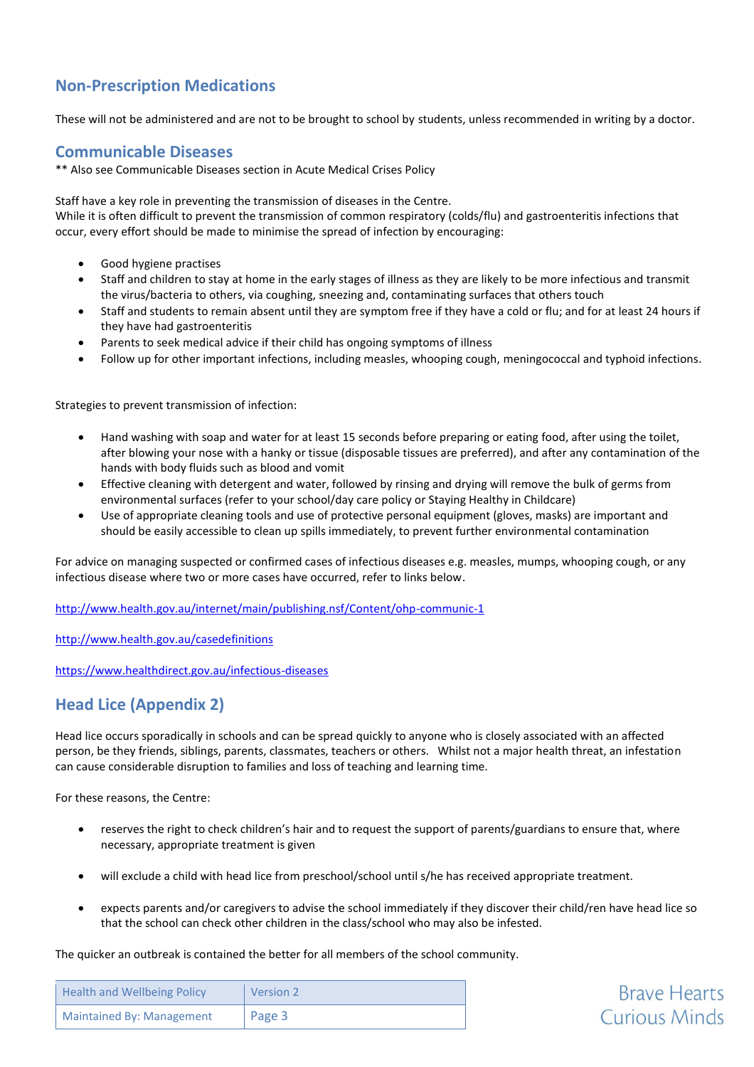# **Non-Prescription Medications**

These will not be administered and are not to be brought to school by students, unless recommended in writing by a doctor.

### **Communicable Diseases**

\*\* Also see Communicable Diseases section in Acute Medical Crises Policy

Staff have a key role in preventing the transmission of diseases in the Centre.

While it is often difficult to prevent the transmission of common respiratory (colds/flu) and gastroenteritis infections that occur, every effort should be made to minimise the spread of infection by encouraging:

- Good hygiene practises
- Staff and children to stay at home in the early stages of illness as they are likely to be more infectious and transmit the virus/bacteria to others, via coughing, sneezing and, contaminating surfaces that others touch
- Staff and students to remain absent until they are symptom free if they have a cold or flu; and for at least 24 hours if they have had gastroenteritis
- Parents to seek medical advice if their child has ongoing symptoms of illness
- Follow up for other important infections, including measles, whooping cough, meningococcal and typhoid infections.

Strategies to prevent transmission of infection:

- Hand washing with soap and water for at least 15 seconds before preparing or eating food, after using the toilet, after blowing your nose with a hanky or tissue (disposable tissues are preferred), and after any contamination of the hands with body fluids such as blood and vomit
- Effective cleaning with detergent and water, followed by rinsing and drying will remove the bulk of germs from environmental surfaces (refer to your school/day care policy or Staying Healthy in Childcare)
- Use of appropriate cleaning tools and use of protective personal equipment (gloves, masks) are important and should be easily accessible to clean up spills immediately, to prevent further environmental contamination

For advice on managing suspected or confirmed cases of infectious diseases e.g. measles, mumps, whooping cough, or any infectious disease where two or more cases have occurred, refer to links below.

<http://www.health.gov.au/internet/main/publishing.nsf/Content/ohp-communic-1>

<http://www.health.gov.au/casedefinitions>

<https://www.healthdirect.gov.au/infectious-diseases>

## **Head Lice (Appendix 2)**

Head lice occurs sporadically in schools and can be spread quickly to anyone who is closely associated with an affected person, be they friends, siblings, parents, classmates, teachers or others. Whilst not a major health threat, an infestation can cause considerable disruption to families and loss of teaching and learning time.

For these reasons, the Centre:

- reserves the right to check children's hair and to request the support of parents/guardians to ensure that, where necessary, appropriate treatment is given
- will exclude a child with head lice from preschool/school until s/he has received appropriate treatment.
- expects parents and/or caregivers to advise the school immediately if they discover their child/ren have head lice so that the school can check other children in the class/school who may also be infested.

The quicker an outbreak is contained the better for all members of the school community.

| <b>Health and Wellbeing Policy</b> | Version 2 |
|------------------------------------|-----------|
| Maintained By: Management          | Page 3    |

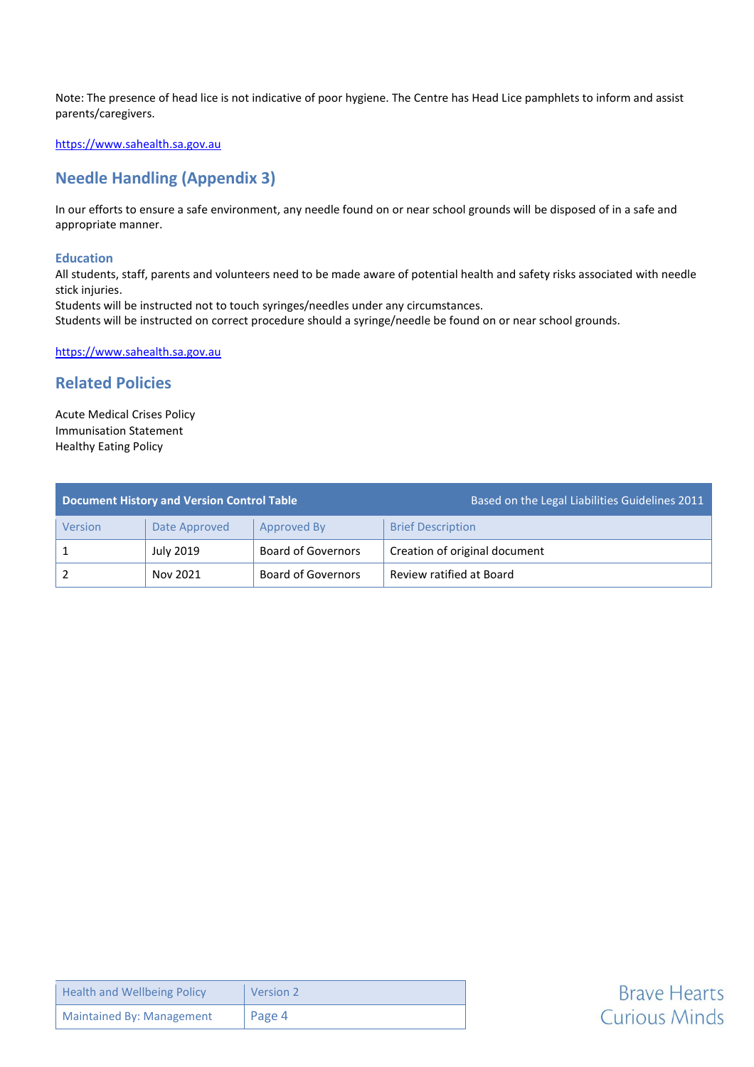Note: The presence of head lice is not indicative of poor hygiene. The Centre has Head Lice pamphlets to inform and assist parents/caregivers.

[https://www.sahealth.sa.gov.au](https://www.sahealth.sa.gov.au/)

# **Needle Handling (Appendix 3)**

In our efforts to ensure a safe environment, any needle found on or near school grounds will be disposed of in a safe and appropriate manner.

#### **Education**

All students, staff, parents and volunteers need to be made aware of potential health and safety risks associated with needle stick injuries.

Students will be instructed not to touch syringes/needles under any circumstances.

Students will be instructed on correct procedure should a syringe/needle be found on or near school grounds.

#### [https://www.sahealth.sa.gov.au](https://www.sahealth.sa.gov.au/)

### **Related Policies**

Acute Medical Crises Policy Immunisation Statement Healthy Eating Policy

| <b>Document History and Version Control Table</b> |               |                           | Based on the Legal Liabilities Guidelines 2011 |
|---------------------------------------------------|---------------|---------------------------|------------------------------------------------|
| Version                                           | Date Approved | Approved By               | <b>Brief Description</b>                       |
|                                                   | July 2019     | <b>Board of Governors</b> | Creation of original document                  |
|                                                   | Nov 2021      | Board of Governors        | Review ratified at Board                       |

| <b>Health and Wellbeing Policy</b> | Version 2 |
|------------------------------------|-----------|
| <b>Maintained By: Management</b>   | Page 4    |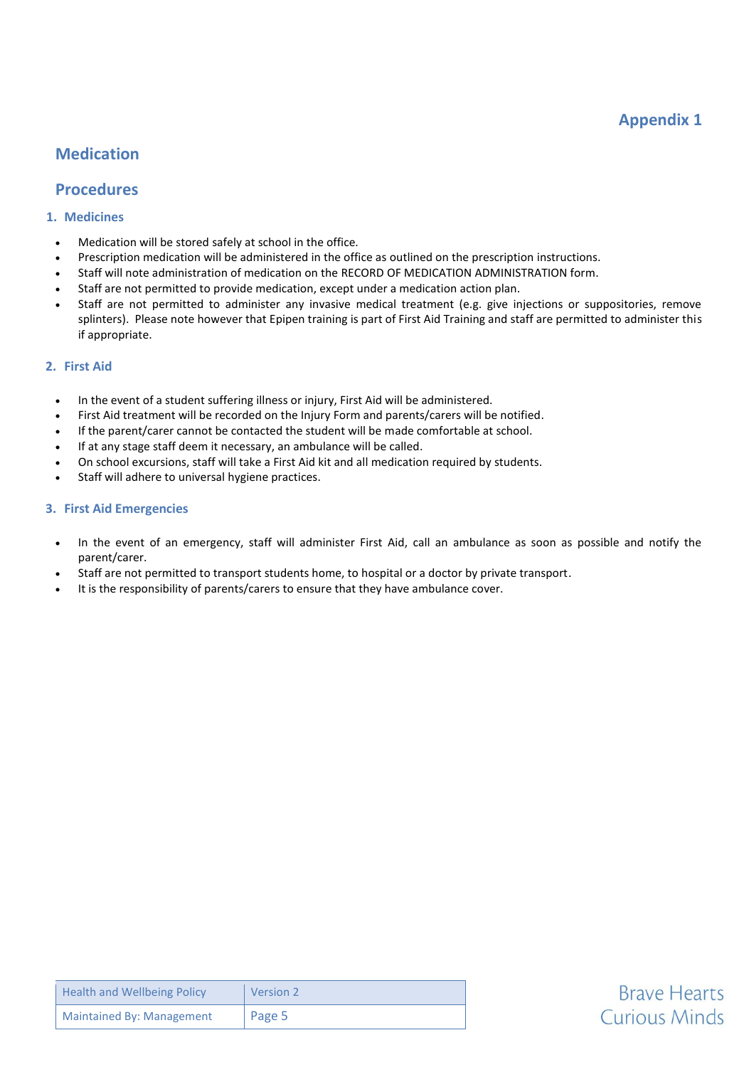## **Appendix 1**

## **Medication**

### **Procedures**

### **1. Medicines**

- Medication will be stored safely at school in the office.
- Prescription medication will be administered in the office as outlined on the prescription instructions.
- Staff will note administration of medication on the RECORD OF MEDICATION ADMINISTRATION form.
- Staff are not permitted to provide medication, except under a medication action plan.
- Staff are not permitted to administer any invasive medical treatment (e.g. give injections or suppositories, remove splinters). Please note however that Epipen training is part of First Aid Training and staff are permitted to administer this if appropriate.

### **2. First Aid**

- In the event of a student suffering illness or injury, First Aid will be administered.
- First Aid treatment will be recorded on the Injury Form and parents/carers will be notified.
- If the parent/carer cannot be contacted the student will be made comfortable at school.
- If at any stage staff deem it necessary, an ambulance will be called.
- On school excursions, staff will take a First Aid kit and all medication required by students.
- Staff will adhere to universal hygiene practices.

### **3. First Aid Emergencies**

- In the event of an emergency, staff will administer First Aid, call an ambulance as soon as possible and notify the parent/carer.
- Staff are not permitted to transport students home, to hospital or a doctor by private transport.
- It is the responsibility of parents/carers to ensure that they have ambulance cover.

| <b>Health and Wellbeing Policy</b> | Version 2 |
|------------------------------------|-----------|
| Maintained By: Management          | Page 5    |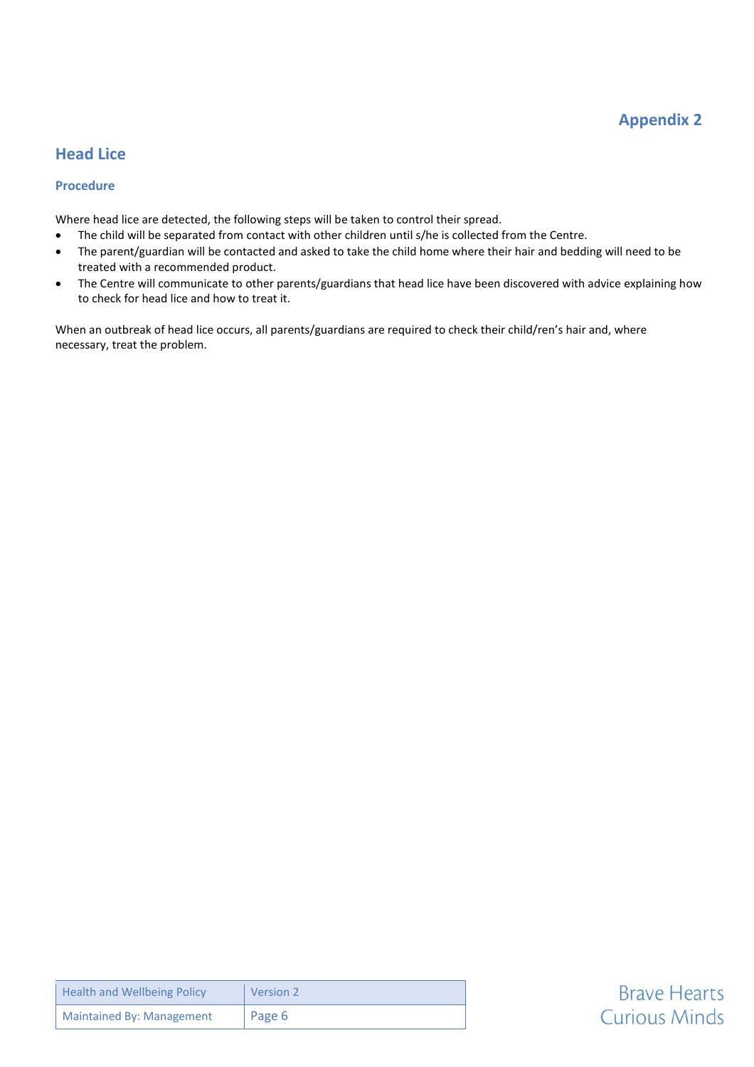### **Head Lice**

### **Procedure**

Where head lice are detected, the following steps will be taken to control their spread.

- The child will be separated from contact with other children until s/he is collected from the Centre.
- The parent/guardian will be contacted and asked to take the child home where their hair and bedding will need to be treated with a recommended product.
- The Centre will communicate to other parents/guardians that head lice have been discovered with advice explaining how to check for head lice and how to treat it.

When an outbreak of head lice occurs, all parents/guardians are required to check their child/ren's hair and, where necessary, treat the problem.

| <b>Health and Wellbeing Policy</b> | Version 2 |
|------------------------------------|-----------|
| Maintained By: Management          | Page 6    |